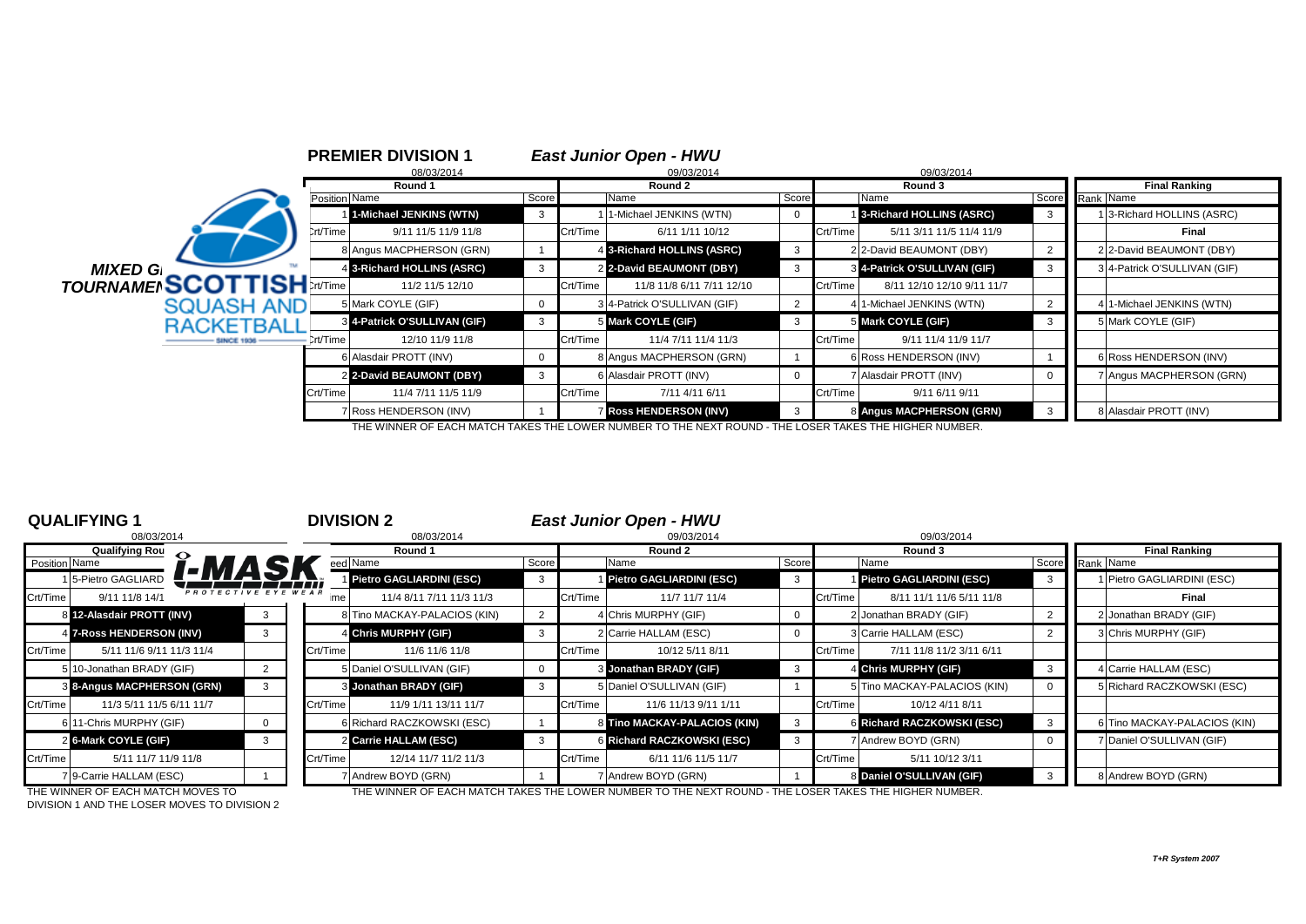|                                              |               | <b>PREMIER DIVISION 1</b>    |       |          | <b>East Junior Open - HWU</b> |                |          |                              |                      |  |                              |
|----------------------------------------------|---------------|------------------------------|-------|----------|-------------------------------|----------------|----------|------------------------------|----------------------|--|------------------------------|
|                                              |               | 08/03/2014                   |       |          | 09/03/2014                    |                |          | 09/03/2014                   |                      |  |                              |
|                                              |               | Round 1                      |       | Round 2  |                               |                |          |                              | <b>Final Ranking</b> |  |                              |
|                                              | Position Name |                              | Score |          | Name                          | Score          |          | Name                         | Score                |  | Rank Name                    |
|                                              |               | 1-Michael JENKINS (WTN)      |       |          | 1-Michael JENKINS (WTN)       | $\mathbf 0$    |          | 3-Richard HOLLINS (ASRC)     |                      |  | 13-Richard HOLLINS (ASRC)    |
|                                              | Crt/Time      | 9/11 11/5 11/9 11/8          |       | Crt/Time | 6/11 1/11 10/12               |                | Crt/Time | 5/11 3/11 11/5 11/4 11/9     |                      |  | Final                        |
|                                              |               | 8 Angus MACPHERSON (GRN)     |       |          | 4 3-Richard HOLLINS (ASRC)    | 3              |          | 2 2-David BEAUMONT (DBY)     |                      |  | 2 2-David BEAUMONT (DBY)     |
| <b>MIXED G</b>                               |               | 4 3-Richard HOLLINS (ASRC)   |       |          | 2 2-David BEAUMONT (DBY)      | 3              |          | 3 4-Patrick O'SULLIVAN (GIF) | -3                   |  | 3 4-Patrick O'SULLIVAN (GIF) |
| <b>MIXED G.</b><br>TOURNAMEI <b>SCOTTISH</b> |               | 11/2 11/5 12/10              |       | Crt/Time | 11/8 11/8 6/11 7/11 12/10     |                | Crt/Time | 8/11 12/10 12/10 9/11 11/7   |                      |  |                              |
| <b>SQUASH AND</b>                            |               | 5 Mark COYLE (GIF)           |       |          | 3 4-Patrick O'SULLIVAN (GIF)  | $\overline{2}$ |          | 4 1-Michael JENKINS (WTN)    |                      |  | 4 1-Michael JENKINS (WTN)    |
| <b>RACKETBALL</b>                            |               | 8 4-Patrick O'SULLIVAN (GIF) | 3     |          | 5 Mark COYLE (GIF)            | 3              |          | 5 Mark COYLE (GIF)           | 3                    |  | 5 Mark COYLE (GIF)           |
|                                              | Crt/Time      | 12/10 11/9 11/8              |       | Crt/Time | 11/4 7/11 11/4 11/3           |                | Crt/Time | 9/11 11/4 11/9 11/7          |                      |  |                              |
|                                              |               | 6 Alasdair PROTT (INV)       |       |          | 8 Angus MACPHERSON (GRN)      |                |          | 6 Ross HENDERSON (INV)       |                      |  | 6 Ross HENDERSON (INV)       |
|                                              |               | 2 2-David BEAUMONT (DBY)     | 3     |          | 6 Alasdair PROTT (INV)        | $\Omega$       |          | 7 Alasdair PROTT (INV)       | $\Omega$             |  | 7 Angus MACPHERSON (GRN)     |
|                                              | Crt/Time      | 11/4 7/11 11/5 11/9          |       | Crt/Time | 7/11 4/11 6/11                |                | Crt/Time | 9/11 6/11 9/11               |                      |  |                              |
|                                              |               | 7 Ross HENDERSON (INV)       |       |          | <b>Ross HENDERSON (INV)</b>   | -3             |          | 8 Angus MACPHERSON (GRN)     |                      |  | 8 Alasdair PROTT (INV)       |

THE WINNER OF EACH MATCH TAKES THE LOWER NUMBER TO THE NEXT ROUND - THE LOSER TAKES THE HIGHER NUMBER.

| <b>QUALIFYING 1</b>                               | <b>DIVISION 2</b>                |          | <b>East Junior Open - HWU</b>   |       |                                      |          |                              |
|---------------------------------------------------|----------------------------------|----------|---------------------------------|-------|--------------------------------------|----------|------------------------------|
| 08/03/2014                                        | 08/03/2014                       |          | 09/03/2014                      |       | 09/03/2014                           |          |                              |
| <b>Qualifying Rou</b>                             | Round 1                          |          | Round 2                         |       | Round 3                              |          | <b>Final Ranking</b>         |
| Position Name                                     | eed Name                         | Score    | Name                            | Score | Name                                 |          | Score Rank Name              |
| <u>[-MASK</u><br>5-Pietro GAGLIARD                | Pietro GAGLIARDINI (ESC)         |          | <b>Pietro GAGLIARDINI (ESC)</b> | 3     | Pietro GAGLIARDINI (ESC)             | 3        | Pietro GAGLIARDINI (ESC)     |
| PROTECTIVE EYE WEAR<br>Crt/Time<br>9/11 11/8 14/1 | 11/4 8/11 7/11 11/3 11/3<br>me   | Crt/Time | 11/7 11/7 11/4                  |       | Crt/Time<br>8/11 11/1 11/6 5/11 11/8 |          | Final                        |
| 8 12-Alasdair PROTT (INV)                         | 8 Tino MACKAY-PALACIOS (KIN)     |          | 4 Chris MURPHY (GIF)            | 0     | 2 Jonathan BRADY (GIF)               |          | 2 Jonathan BRADY (GIF)       |
| 4 7-Ross HENDERSON (INV)                          | 4 Chris MURPHY (GIF)             |          | 2 Carrie HALLAM (ESC)           | 0     | 3 Carrie HALLAM (ESC)                |          | 3 Chris MURPHY (GIF)         |
| Crt/Time<br>5/11 11/6 9/11 11/3 11/4              | Crt/Time<br>11/6 11/6 11/8       | Crt/Time | 10/12 5/11 8/11                 |       | Crt/Time<br>7/11 11/8 11/2 3/11 6/11 |          |                              |
| 5 10-Jonathan BRADY (GIF)                         | 5 Daniel O'SULLIVAN (GIF)        |          | 3 Jonathan BRADY (GIF)          | 3     | 4 Chris MURPHY (GIF)                 | 3        | 4 Carrie HALLAM (ESC)        |
| 3 8-Angus MACPHERSON (GRN)                        | 3 Jonathan BRADY (GIF)           |          | 5 Daniel O'SULLIVAN (GIF)       |       | 5 Tino MACKAY-PALACIOS (KIN)         |          | 5 Richard RACZKOWSKI (ESC)   |
| Crt/Time<br>11/3 5/11 11/5 6/11 11/7              | Crt/Time<br>11/9 1/11 13/11 11/7 | Crt/Time | 11/6 11/13 9/11 1/11            |       | Crt/Time<br>10/12 4/11 8/11          |          |                              |
| 6 11-Chris MURPHY (GIF)                           | 6 Richard RACZKOWSKI (ESC)       |          | 8 Tino MACKAY-PALACIOS (KIN)    | 3     | 6 Richard RACZKOWSKI (ESC)           |          | 6 Tino MACKAY-PALACIOS (KIN) |
| 2 6-Mark COYLE (GIF)<br>3                         | 2 Carrie HALLAM (ESC)            |          | 6 Richard RACZKOWSKI (ESC)      | 3     | 7 Andrew BOYD (GRN)                  | $\Omega$ | 7 Daniel O'SULLIVAN (GIF)    |
| Crt/Time<br>5/11 11/7 11/9 11/8                   | Crt/Time<br>12/14 11/7 11/2 11/3 | Crt/Time | 6/11 11/6 11/5 11/7             |       | Crt/Time<br>5/11 10/12 3/11          |          |                              |
| 7 9-Carrie HALLAM (ESC)                           | 7 Andrew BOYD (GRN)              |          | 7 Andrew BOYD (GRN)             |       | 8 Daniel O'SULLIVAN (GIF)            |          | 8 Andrew BOYD (GRN)          |

DIVISION 1 AND THE LOSER MOVES TO DIVISION 2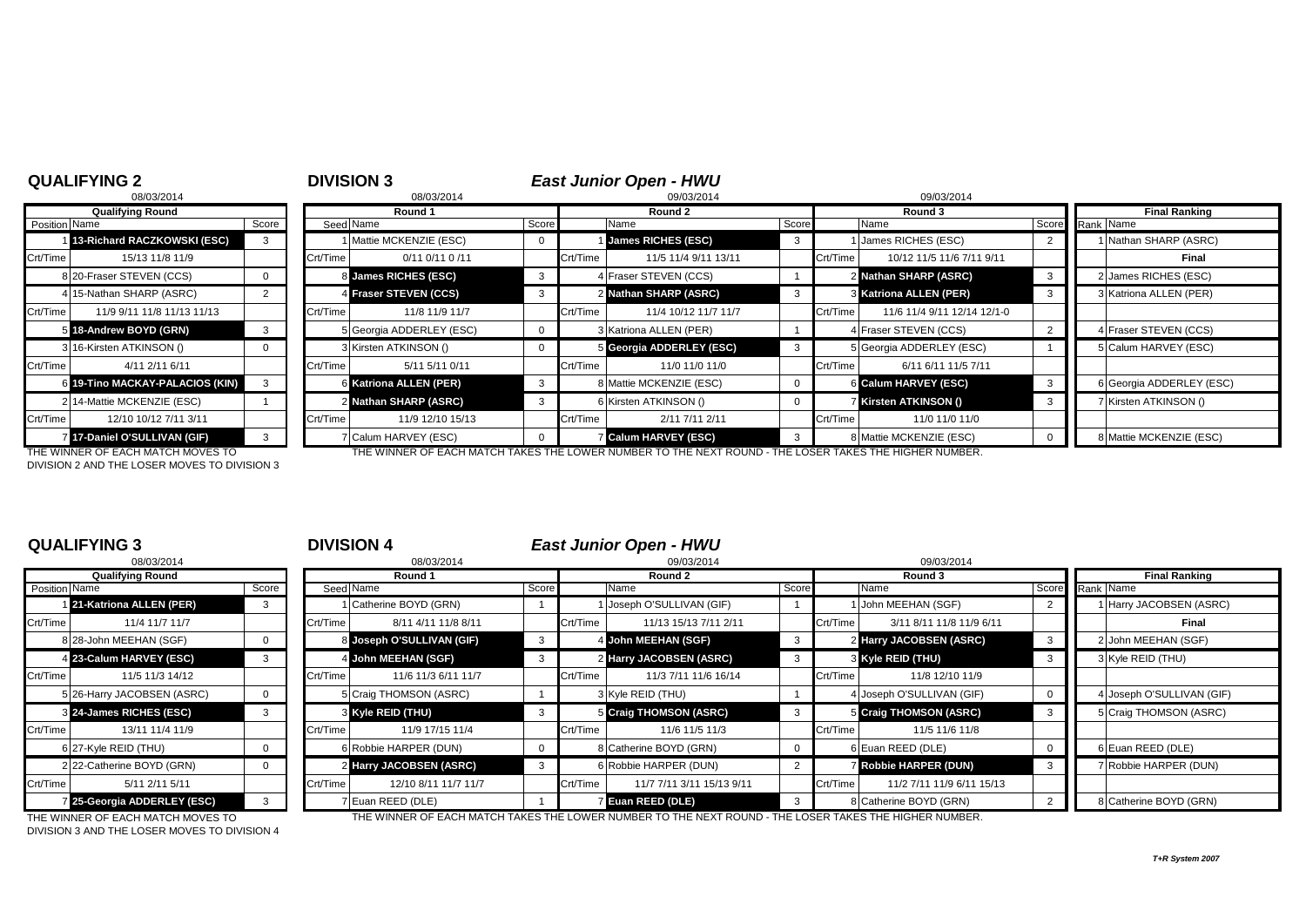## **QUALIFYING 2**<br>08/03/2014 **DIVISION 3**<br>08/03/2014 *DIVISION 3* 08/03/2014 08/03/2014 09/03/2014 09/03/2014 **Qualifying Round Round 1 Round 2 Round 3 Final Ranking** Position Name Score Score Seed Name Seed Name Score Name Score Score Name Score Name Score Score Rank Name 1 **13-Richard RACZKOWSKI (ESC)** 3 1 Mattie MCKENZIE (ESC) 0 1 **James RICHES (ESC)** 3 1 James RICHES (ESC) 2 1 Nathan SHARP (ASRC) Crt/Time 15/13 11/8 11/9 Crt/Time 0/11 0/11 0 /11 Crt/Time 11/5 11/4 9/11 13/11 Crt/Time 10/12 11/5 11/6 7/11 9/11 **Final** 8 20-Fraser STEVEN (CCS) 0 8 **James RICHES (ESC)** 3 4 Fraser STEVEN (CCS) 1 2 **Nathan SHARP (ASRC)** 3 2 James RICHES (ESC) 4 15-Nathan SHARP (ASRC) 2 4 **Fraser STEVEN (CCS)** 3 2 **Nathan SHARP (ASRC)** 3 3 **Katriona ALLEN (PER)** 3 3 Katriona ALLEN (PER) Crt/Time | 11/9 9/11 11/8 11/13 11/13 | Crt/Time | Crt/Time | 11/8 11/9 11/7 | Crt/Time | 11/4 10/12 11/7 11/7 | Crt/Time | 11/6 11/4 9/11 12/14 12/1-0 5 **18-Andrew BOYD (GRN)** 3 | 5 Georgia ADDERLEY (ESC) 0 3 Katriona ALLEN (PER) 4 Fraser STEVEN (CCS) 2 | 4 Fraser STEVEN (CCS) 3 16-Kirsten ATKINSON () 0 3 Kirsten ATKINSON () 0 5 **Georgia ADDERLEY (ESC)** 3 5 Georgia ADDERLEY (ESC) 1 5 Calum HARVEY (ESC) Crt/Time | 4/11 2/11 6/11 | Crt/Time | 5/11 5/11 0/11 | Crt/Time | 11/0 11/0 | Crt/Time | 6/11 6/11 11/5 7/11 6 **19-Tino MACKAY-PALACIOS (KIN)** 3 6 **Katriona ALLEN (PER)** 3 8 Mattie MCKENZIE (ESC) 0 6 **Calum HARVEY (ESC)** 3 6 Georgia ADDERLEY (ESC) 2 14-Mattie MCKENZIE (ESC) 1 2 **Nathan SHARP (ASRC)** 3 6 Kirsten ATKINSON () 0 7 **Kirsten ATKINSON ()** 3 7 Kirsten ATKINSON () Crt/Time 12/10 10/12 7/11 3/11 Crt/Time 11/9 12/10 15/13 Crt/Time 2/11 7/11 2/11 Crt/Time 11/0 11/0 11/0 7 **17-Daniel O'SULLIVAN (GIF)** 3 7 Calum HARVEY (ESC) 0 7 **Calum HARVEY (ESC)** 3 8 Mattie MCKENZIE (ESC) 0 8 Mattie MCKENZIE (ESC) THE WINNER OF EACH MATCH MOVES TO THE WINNER OF EACH MATCH TAKES THE LOWER NUMBER TO THE NEXT ROUND - THE LOSER TAKES THE HIGHER NUMBER.

DIVISION 2 AND THE LOSER MOVES TO DIVISION 3

|                | 08/03/2014                 |       |
|----------------|----------------------------|-------|
|                | <b>Qualifying Round</b>    |       |
| Position Name  |                            | Score |
| 11             | 21-Katriona ALLEN (PER)    | 3     |
| Crt/Time       | 11/4 11/7 11/7             |       |
|                | 8 28-John MEEHAN (SGF)     | 0     |
| 4              | 23-Calum HARVEY (ESC)      | 3     |
| Crt/Time       | 11/5 11/3 14/12            |       |
|                | 5 26-Harry JACOBSEN (ASRC) | O     |
| $\overline{3}$ | 24-James RICHES (ESC)      | 3     |
| Crt/Time       | 13/11 11/4 11/9            |       |
|                | 6 27-Kyle REID (THU)       | 0     |
|                | 2 22-Catherine BOYD (GRN)  | n     |
| Crt/Time       | 5/11 2/11 5/11             |       |
| $\overline{7}$ | 25-Georgia ADDERLEY (ESC)  | 3     |

# **QUALIFYING 3** <sup>3</sup> **DIVISION 4** *East Junior Open - HWU*

|               | 08/03/2014                  |       | 08/03/2014 |                           |              | 09/03/2014 |                           |       |          | 09/03/2014                   |                         |                           |
|---------------|-----------------------------|-------|------------|---------------------------|--------------|------------|---------------------------|-------|----------|------------------------------|-------------------------|---------------------------|
|               | <b>Qualifying Round</b>     |       |            | Round 1                   |              |            | Round 2                   |       |          | Round 3                      | <b>Final Ranking</b>    |                           |
| Position Name |                             | Score |            | Seed Name                 | Score        |            | Name                      | Score |          | Name                         | Score                   | Rank Name                 |
|               | 21-Katriona ALLEN (PER)     |       |            | 1 Catherine BOYD (GRN)    |              |            | 1 Joseph O'SULLIVAN (GIF) |       |          | 1 John MEEHAN (SGF)          |                         | 1 Harry JACOBSEN (ASRC)   |
| Crt/Time      | 11/4 11/7 11/7              |       | Crt/Time   | 8/11 4/11 11/8 8/11       |              | Crt/Time   | 11/13 15/13 7/11 2/11     |       | Crt/Time | 3/11 8/11 11/8 11/9 6/11     |                         | Final                     |
|               | 8 28-John MEEHAN (SGF)      |       |            | 8 Joseph O'SULLIVAN (GIF) | $\mathbf{3}$ |            | 4 John MEEHAN (SGF)       |       |          | 2 Harry JACOBSEN (ASRC)      | $\overline{\mathbf{3}}$ | 2 John MEEHAN (SGF)       |
|               | 4 23-Calum HARVEY (ESC)     |       |            | 4 John MEEHAN (SGF)       |              |            | 2 Harry JACOBSEN (ASRC)   |       |          | 3 Kyle REID (THU)            |                         | 3 Kyle REID (THU)         |
| Crt/Time      | 11/5 11/3 14/12             |       | Crt/Time   | 11/6 11/3 6/11 11/7       |              | Crt/Time   | 11/3 7/11 11/6 16/14      |       | Crt/Time | 11/8 12/10 11/9              |                         |                           |
|               | 5 26-Harry JACOBSEN (ASRC)  |       |            | 5 Craig THOMSON (ASRC)    |              |            | 3 Kyle REID (THU)         |       |          | 4 Joseph O'SULLIVAN (GIF)    |                         | 4 Joseph O'SULLIVAN (GIF) |
|               | 3 24-James RICHES (ESC)     |       |            | 3 Kyle REID (THU)         | 3            |            | 5 Craig THOMSON (ASRC)    |       |          | 5 Craig THOMSON (ASRC)       | $\mathbf{3}$            | 5 Craig THOMSON (ASRC)    |
| Crt/Time      | 13/11 11/4 11/9             |       | Crt/Time   | 11/9 17/15 11/4           |              | Crt/Time   | 11/6 11/5 11/3            |       | Crt/Time | 11/5 11/6 11/8               |                         |                           |
|               | 6 27-Kyle REID (THU)        |       |            | 6 Robbie HARPER (DUN)     | $\mathbf 0$  |            | 8 Catherine BOYD (GRN)    |       |          | 6 Euan REED (DLE)            |                         | 6 Euan REED (DLE)         |
|               | 2 22-Catherine BOYD (GRN)   |       |            | 2 Harry JACOBSEN (ASRC)   | 3            |            | 6 Robbie HARPER (DUN)     |       |          | <b>Z Robbie HARPER (DUN)</b> | -3                      | 7 Robbie HARPER (DUN)     |
| Crt/Time      | 5/11 2/11 5/11              |       | Crt/Time   | 12/10 8/11 11/7 11/7      |              | Crt/Time   | 11/7 7/11 3/11 15/13 9/11 |       | Crt/Time | 11/2 7/11 11/9 6/11 15/13    |                         |                           |
|               | 7 25-Georgia ADDERLEY (ESC) |       |            | 7 Euan REED (DLE)         |              |            | <b>Euan REED (DLE)</b>    |       |          | 8 Catherine BOYD (GRN)       |                         | 8 Catherine BOYD (GRN)    |

DIVISION 3 AND THE LOSER MOVES TO DIVISION 4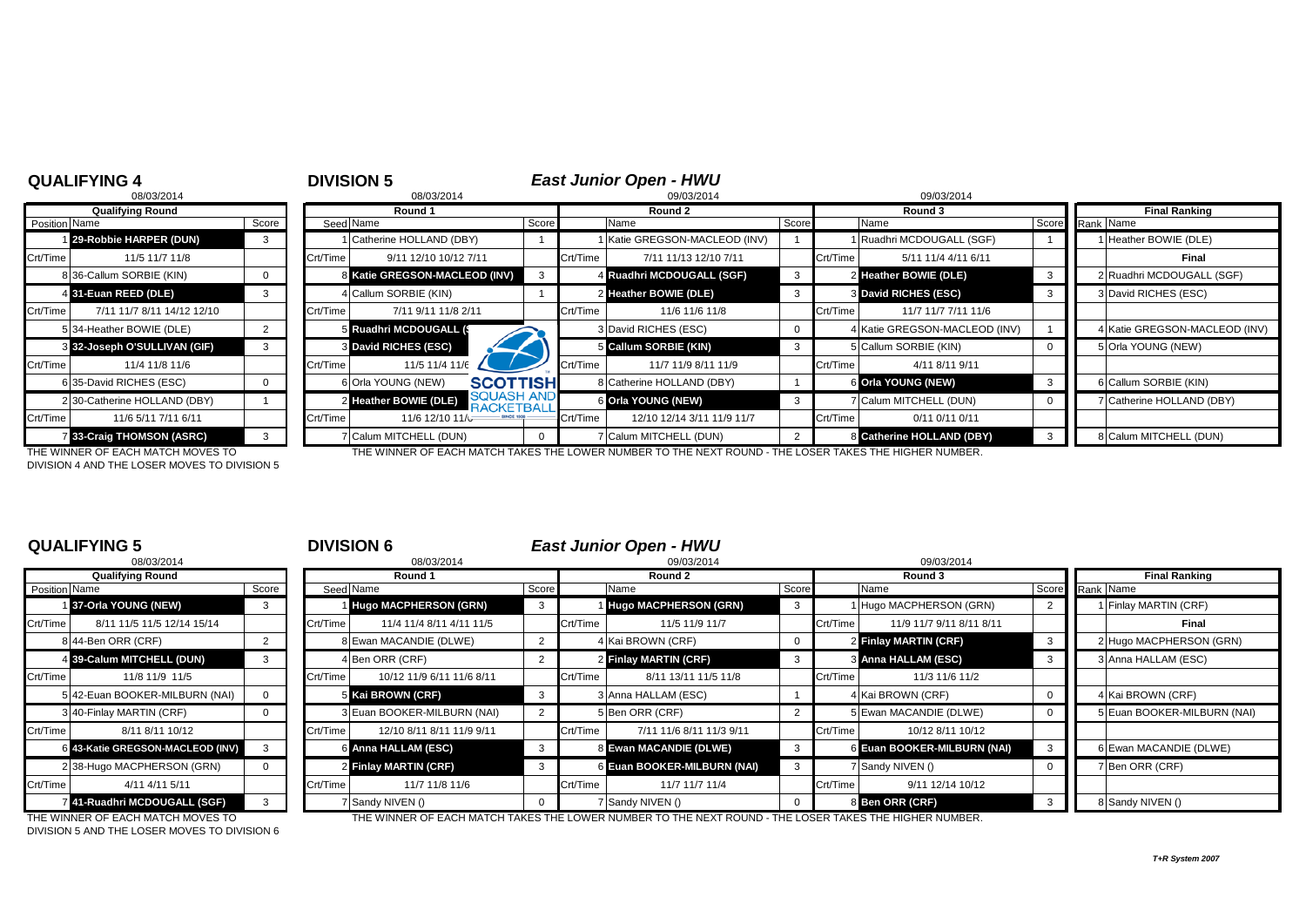# **QUALIFYING 4**<br>**DIVISION 5**<br>**DIVISION 5**<br>**RIGG27014**<br>**RIGG27014**<br>**RIGG27014**

|               | 08/03/2014                        |                |
|---------------|-----------------------------------|----------------|
|               | <b>Qualifying Round</b>           |                |
| Position Name |                                   | Scor           |
| 1             | 29-Robbie HARPER (DUN)            | 3              |
| Crt/Time      | 11/5 11/7 11/8                    |                |
|               | 8 36-Callum SORBIE (KIN)          | $\Omega$       |
|               | 4 31-Euan REED (DLE)              | 3              |
| Crt/Time      | 7/11 11/7 8/11 14/12 12/10        |                |
|               | 5 34-Heather BOWIE (DLE)          | $\overline{2}$ |
|               | 3 32-Joseph O'SULLIVAN (GIF)      | 3              |
| Crt/Time      | 11/4 11/8 11/6                    |                |
|               | 6 35-David RICHES (ESC)           | 0              |
| 2             | 30-Catherine HOLLAND (DBY)        |                |
| Crt/Time      | 11/6 5/11 7/11 6/11               |                |
|               | 7 33-Craig THOMSON (ASRC)         | 3              |
|               | THE WINNER OF EACH MATCH MOVED TO |                |

|               | 08/03/2014                   |       |          | 08/03/2014                                              | 09/03/2014<br>09/03/2014 |          |                             |       |          |                               |                 |                               |
|---------------|------------------------------|-------|----------|---------------------------------------------------------|--------------------------|----------|-----------------------------|-------|----------|-------------------------------|-----------------|-------------------------------|
|               | <b>Qualifying Round</b>      |       | Round 1  |                                                         |                          |          | Round 2                     |       |          | Round 3                       |                 | <b>Final Ranking</b>          |
| Position Name |                              | Score |          | Seed Name                                               | Score                    |          | Name                        | Score |          | Name                          | Score Rank Name |                               |
|               | 29-Robbie HARPER (DUN)       | 3     |          | Catherine HOLLAND (DBY)                                 |                          |          | Katie GREGSON-MACLEOD (INV) |       |          | Ruadhri MCDOUGALL (SGF)       |                 | Heather BOWIE (DLE)           |
| Crt/Time      | 11/5 11/7 11/8               |       | Crt/Time | 9/11 12/10 10/12 7/11                                   |                          | Crt/Time | 7/11 11/13 12/10 7/11       |       | Crt/Time | 5/11 11/4 4/11 6/11           |                 | Final                         |
|               | 8 36-Callum SORBIE (KIN)     |       |          | 8 Katie GREGSON-MACLEOD (INV)                           |                          |          | 4 Ruadhri MCDOUGALL (SGF)   |       |          | 2 Heather BOWIE (DLE)         | - 3             | 2 Ruadhri MCDOUGALL (SGF)     |
|               | 4 31-Euan REED (DLE)         |       |          | 4 Callum SORBIE (KIN)                                   |                          |          | 2 Heather BOWIE (DLE)       |       |          | 3 David RICHES (ESC)          |                 | 3 David RICHES (ESC)          |
| Crt/Time      | 7/11 11/7 8/11 14/12 12/10   |       | Crt/Time | 7/11 9/11 11/8 2/11                                     |                          | Crt/Time | 11/6 11/6 11/8              |       | Crt/Time | 11/7 11/7 7/11 11/6           |                 |                               |
|               | 5 34-Heather BOWIE (DLE)     |       |          | ଗ Ruadhri MCDOUGALL (\$                                 |                          |          | 3 David RICHES (ESC)        |       |          | 4 Katie GREGSON-MACLEOD (INV) |                 | 4 Katie GREGSON-MACLEOD (INV) |
|               | 3 32-Joseph O'SULLIVAN (GIF) |       |          | 3 David RICHES (ESC)                                    |                          |          | 5 Callum SORBIE (KIN)       |       |          | 5 Callum SORBIE (KIN)         |                 | 5 Orla YOUNG (NEW)            |
| Crt/Time      | 11/4 11/8 11/6               |       | Crt/Time | 11/5 11/4 11/6                                          |                          | Crt/Time | 11/7 11/9 8/11 11/9         |       | Crt/Time | 4/11 8/11 9/11                |                 |                               |
|               | 6 35-David RICHES (ESC)      |       |          | <b>SCOTTISH</b><br>6 Orla YOUNG (NEW)                   |                          |          | 8 Catherine HOLLAND (DBY)   |       |          | 6 Orla YOUNG (NEW)            |                 | 6 Callum SORBIE (KIN)         |
|               | 2 30-Catherine HOLLAND (DBY) |       |          | SOUASH AND<br>2 Heather BOWIE (DLE)<br><b>RACKETBAL</b> |                          |          | 6 Orla YOUNG (NEW)          |       |          | Calum MITCHELL (DUN)          |                 | 7 Catherine HOLLAND (DBY)     |
| Crt/Time      | 11/6 5/11 7/11 6/11          |       | Crt/Time | 11/6 12/10 11/6                                         |                          | Crt/Time | 12/10 12/14 3/11 11/9 11/7  |       | Crt/Time | 0/11 0/11 0/11                |                 |                               |
|               | 33-Craig THOMSON (ASRC)      |       |          | 7 Calum MITCHELL (DUN)                                  |                          |          | 7 Calum MITCHELL (DUN)      |       |          | 8 Catherine HOLLAND (DBY)     |                 | 8 Calum MITCHELL (DUN)        |
|               |                              |       |          |                                                         |                          |          |                             |       |          |                               |                 |                               |

DIVISION 4 AND THE LOSER MOVES TO DIVISION 5

THE WINNER OF EACH MATCH MOVES TO THE WINNER OF EACH MATCH TAKES THE LOWER NUMBER TO THE NEXT ROUND - THE LOSER TAKES THE HIGHER NUMBER.

| 08/03/2014    |                                  |       | 08/03/2014 |                              |       |          | 09/03/2014                  |       | 09/03/2014 |                             |          |                  |
|---------------|----------------------------------|-------|------------|------------------------------|-------|----------|-----------------------------|-------|------------|-----------------------------|----------|------------------|
|               | <b>Qualifying Round</b>          |       |            | Round 1                      |       | Round 2  |                             |       | Round 3    |                             | Final Ra |                  |
| Position Name |                                  | Score |            | Seed Name                    | Score |          | Name                        | Score |            | Name                        | Score    | Rank Name        |
|               | 37-Orla YOUNG (NEW)              | 3     |            | <b>Hugo MACPHERSON (GRN)</b> |       |          | Hugo MACPHERSON (GRN)       |       |            | 1 Hugo MACPHERSON (GRN)     |          | 1 Finlay MARTIN  |
| Crt/Time      | 8/11 11/5 11/5 12/14 15/14       |       | Crt/Time   | 11/4 11/4 8/11 4/11 11/5     |       | Crt/Time | 11/5 11/9 11/7              |       | Crt/Time   | 11/9 11/7 9/11 8/11 8/11    |          |                  |
|               | 8 44-Ben ORR (CRF)               |       |            | 8 Ewan MACANDIE (DLWE)       |       |          | 4 Kai BROWN (CRF)           |       |            | 2 Finlay MARTIN (CRF)       |          | 2 Hugo MACPHE    |
|               | 4 39-Calum MITCHELL (DUN)        | 3     |            | 4 Ben ORR (CRF)              |       |          | 2 Finlay MARTIN (CRF)       |       |            | 3 Anna HALLAM (ESC)         |          | 3 Anna HALLAM    |
| Crt/Time      | 11/8 11/9 11/5                   |       | Crt/Time   | 10/12 11/9 6/11 11/6 8/11    |       | Crt/Time | 8/11 13/11 11/5 11/8        |       | Crt/Time   | 11/3 11/6 11/2              |          |                  |
|               | 5 42-Euan BOOKER-MILBURN (NAI)   |       |            | 5 Kai BROWN (CRF)            |       |          | 3 Anna HALLAM (ESC)         |       |            | 4 Kai BROWN (CRF)           |          | 4 Kai BROWN (C   |
|               | 3 40-Finlay MARTIN (CRF)         |       |            | 3 Euan BOOKER-MILBURN (NAI)  |       |          | 5 Ben ORR (CRF)             |       |            | 5 Ewan MACANDIE (DLWE)      |          | 5 Euan BOOKER    |
| Crt/Time      | 8/11 8/11 10/12                  |       | Crt/Time   | 12/10 8/11 8/11 11/9 9/11    |       | Crt/Time | 7/11 11/6 8/11 11/3 9/11    |       | Crt/Time   | 10/12 8/11 10/12            |          |                  |
|               | 6 43-Katie GREGSON-MACLEOD (INV) |       |            | 6 Anna HALLAM (ESC)          |       |          | 8 Ewan MACANDIE (DLWE)      |       |            | 6 Euan BOOKER-MILBURN (NAI) | 3        | 6 Ewan MACAND    |
|               | 2 38-Hugo MACPHERSON (GRN)       |       |            | 2 Finlay MARTIN (CRF)        |       |          | 6 Euan BOOKER-MILBURN (NAI) |       |            | 7 Sandy NIVEN ()            |          | 7 Ben ORR (CRF   |
| Crt/Time      | 4/11 4/11 5/11                   |       | Crt/Time   | 11/7 11/8 11/6               |       | Crt/Time | 11/7 11/7 11/4              |       | Crt/Time   | 9/11 12/14 10/12            |          |                  |
|               | 41-Ruadhri MCDOUGALL (SGF)       | 3     |            | 7 Sandy NIVEN ()             |       |          | 7 Sandy NIVEN ()            |       |            | 8 Ben ORR (CRF)             |          | 8 Sandy NIVEN () |

## **QUALIFYING 5 DIVISION 6** *East Junior Open - HWU*<br>09/03/2014 *DIVISION 6*  $\frac{100003}{20103}{2014}$ 08/03/2014 08/03/2014 09/03/2014 09/03/2014 **Qualifying Round Round 1 Round 2 Round 3 Final Ranking** Position Name Score Score Seed Name Seed Score Score Name Score Score Name Score Name Score Score Rank Name 1 **37-Orla YOUNG (NEW)** 3 1 **Hugo MACPHERSON (GRN)** 3 1 **Hugo MACPHERSON (GRN)** 3 1 Hugo MACPHERSON (GRN) 2 1 Finlay MARTIN (CRF) Crt/Time 8/11 11/5 11/5 12/14 15/14 Crt/Time 11/4 11/4 8/11 4/11 11/5 Crt/Time 11/5 11/9 11/7 Crt/Time 11/9 11/7 9/11 8/11 8/11 **Final** 8 Ewan MACANDIE (DLWE) 2 8 4 Kai BROWN (CRF) 0 2 Finlay MARTIN (CRF) 3 2 Hugo MACPHERSON (GRN) 4 **39-Calum MITCHELL (DUN)** 3 4 Ben ORR (CRF) 2 2 **Finlay MARTIN (CRF)** 3 3 **Anna HALLAM (ESC)** 3 3 Anna HALLAM (ESC) Crt/Time 10/12 11/9 6/11 11/6 8/11 Crt/Time 8/11 13/11 11/5 11/8 Crt/Time 11/3 11/6 11/2 5 42-Euan BOOKER-MILBURN (NAI) | 0 || 5 <mark>Kai BROWN (CRF)</mark> 3 | 3 |Anna HALLAM (ESC) | 1 | 4 |Kai BROWN (CRF) | 0 || 4 |Kai BROWN (CRF) 3 Euan BOOKER-MILBURN (NAI) 2 5 Ben ORR (CRF) 2 5 Ben MACANDIE (DLWE) 0 5 Euan BOOKER-MILBURN (NAI) Crt/Time 8/11 8/11 10/12 Crt/Time 12/10 8/11 8/11 11/9 9/11 Crt/Time 7/11 11/6 8/11 11/3 9/11 Crt/Time 10/12 8/11 10/12 6 **43-Katie GREGSON-MACLEOD (INV)** 3 6 **Anna HALLAM (ESC)** 3 8 **Ewan MACANDIE (DLWE)** 3 6 **Euan BOOKER-MILBURN (NAI)** 3 6 Ewan MACANDIE (DLWE) 2 **Finlay MARTIN (CRF)** 3 6 **6 Euan BOOKER-MILBURN (NAI)** 3 7 Sandy NIVEN () 1 0 7 Ben ORR (CRF)

DIVISION 5 AND THE LOSER MOVES TO DIVISION 6